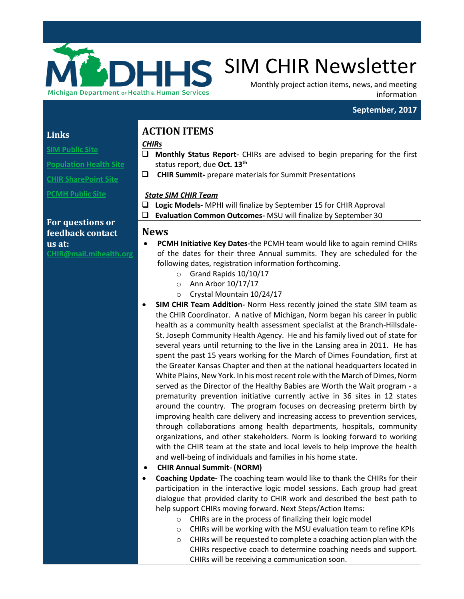

# HS SIM CHIR Newsletter

Monthly project action items, news, and meeting information

# **September, 2017**

## **Links**

**[SIM Public Site](http://www.michigan.gov/mdhhs/0,5885,7-339-71551_2945_64491_76092---,00.html)**

**[Population Health Site](http://www.michigan.gov/mdhhs/0,5885,7-339-71551_2945_64491_76092_77453---,00.html)**

**[CHIR SharePoint Site](https://stateofmichigan.sharepoint.com/teams/dhhs/bic/msacss/SIM/SitePages/CHIR.aspx)**

**[PCMH Public Site](http://www.michigan.gov/mdhhs/0,5885,7-339-71551_2945_64491_76092_77452---,00.html)** 

# **For questions or feedback contact us at:**

**C[HIR@mail.mihealth.org](mailto:CHIR@mail.mihealth.org)**

# **ACTION ITEMS**

#### *CHIRs*

- **Monthly Status Report-** CHIRs are advised to begin preparing for the first status report, due **Oct. 13th**
- **CHIR Summit-** prepare materials for Summit Presentations

### *State SIM CHIR Team*

 **Logic Models-** MPHI will finalize by September 15 for CHIR Approval **Evaluation Common Outcomes-** MSU will finalize by September 30

## **News**

- **PCMH Initiative Key Dates-**the PCMH team would like to again remind CHIRs of the dates for their three Annual summits. They are scheduled for the following dates, registration information forthcoming.
	- o Grand Rapids 10/10/17
	- o Ann Arbor 10/17/17
	- o Crystal Mountain 10/24/17
- **SIM CHIR Team Addition-** Norm Hess recently joined the state SIM team as the CHIR Coordinator. A native of Michigan, Norm began his career in public health as a community health assessment specialist at the Branch-Hillsdale-St. Joseph Community Health Agency. He and his family lived out of state for several years until returning to the live in the Lansing area in 2011. He has spent the past 15 years working for the March of Dimes Foundation, first at the Greater Kansas Chapter and then at the national headquarters located in White Plains, New York. In his most recent role with the March of Dimes, Norm served as the Director of the Healthy Babies are Worth the Wait program - a prematurity prevention initiative currently active in 36 sites in 12 states around the country. The program focuses on decreasing preterm birth by improving health care delivery and increasing access to prevention services, through collaborations among health departments, hospitals, community organizations, and other stakeholders. Norm is looking forward to working with the CHIR team at the state and local levels to help improve the health and well-being of individuals and families in his home state.
- **CHIR Annual Summit- (NORM)**
- **Coaching Update-** The coaching team would like to thank the CHIRs for their participation in the interactive logic model sessions. Each group had great dialogue that provided clarity to CHIR work and described the best path to help support CHIRs moving forward. Next Steps/Action Items:
	- o CHIRs are in the process of finalizing their logic model
	- o CHIRs will be working with the MSU evaluation team to refine KPIs
	- o CHIRs will be requested to complete a coaching action plan with the CHIRs respective coach to determine coaching needs and support. CHIRs will be receiving a communication soon.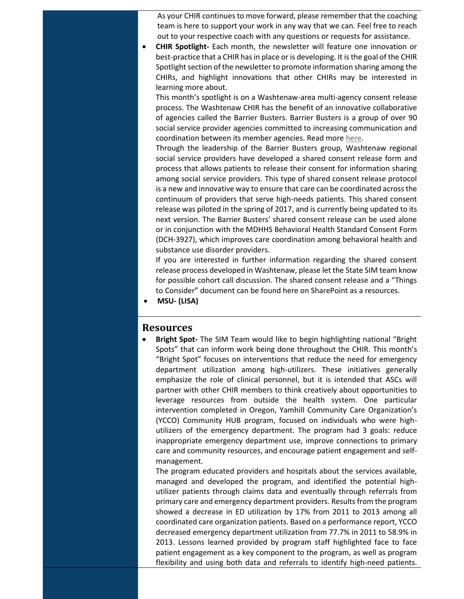As your CHIR continues to move forward, please remember that the coaching team is here to support your work in any way that we can. Feel free to reach out to your respective coach with any questions or requests for assistance.

• **CHIR Spotlight-** Each month, the newsletter will feature one innovation or best-practice that a CHIR has in place or is developing. It is the goal of the CHIR Spotlight section of the newsletter to promote information sharing among the CHIRs, and highlight innovations that other CHIRs may be interested in learning more about.

This month's spotlight is on a Washtenaw-area multi-agency consent release process. The Washtenaw CHIR has the benefit of an innovative collaborative of agencies called the Barrier Busters. Barrier Busters is a group of over 90 social service provider agencies committed to increasing communication and coordination between its member agencies. Read more [here.](http://www.ewashtenaw.org/government/departments/community-and-economic-development/human-services/BB)

Through the leadership of the Barrier Busters group, Washtenaw regional social service providers have developed a shared consent release form and process that allows patients to release their consent for information sharing among social service providers. This type of shared consent release protocol is a new and innovative way to ensure that care can be coordinated across the continuum of providers that serve high-needs patients. This shared consent release was piloted in the spring of 2017, and is currently being updated to its next version. The Barrier Busters' shared consent release can be used alone or in conjunction with the MDHHS Behavioral Health Standard Consent Form (DCH-3927), which improves care coordination among behavioral health and substance use disorder providers.

If you are interested in further information regarding the shared consent release process developed in Washtenaw, please let the State SIM team know for possible cohort call discussion. The shared consent release and a "Things to Consider" document can be found here on SharePoint as a resources.

• **MSU- (LISA)**

#### **Resources**

• **Bright Spot-** The SIM Team would like to begin highlighting national "Bright Spots" that can inform work being done throughout the CHIR. This month's "Bright Spot" focuses on interventions that reduce the need for emergency department utilization among high-utilizers. These initiatives generally emphasize the role of clinical personnel, but it is intended that ASCs will partner with other CHIR members to think creatively about opportunities to leverage resources from outside the health system. One particular intervention completed in Oregon, Yamhill Community Care Organization's (YCCO) Community HUB program, focused on individuals who were highutilizers of the emergency department. The program had 3 goals: reduce inappropriate emergency department use, improve connections to primary care and community resources, and encourage patient engagement and selfmanagement.

The program educated providers and hospitals about the services available, managed and developed the program, and identified the potential highutilizer patients through claims data and eventually through referrals from primary care and emergency department providers. Results from the program showed a decrease in ED utilization by 17% from 2011 to 2013 among all coordinated care organization patients. Based on a performance report, YCCO decreased emergency department utilization from 77.7% in 2011 to 58.9% in 2013. Lessons learned provided by program staff highlighted face to face patient engagement as a key component to the program, as well as program flexibility and using both data and referrals to identify high-need patients.